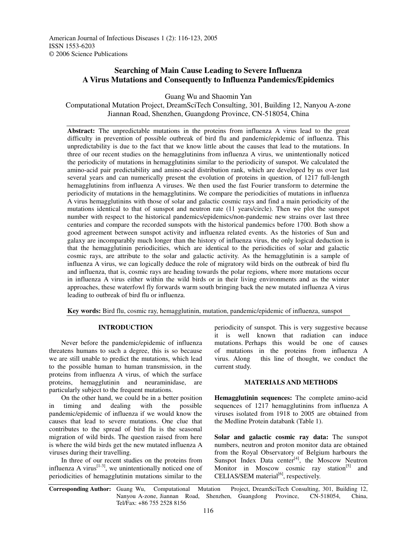# **Searching of Main Cause Leading to Severe Influenza A Virus Mutations and Consequently to Influenza Pandemics/Epidemics**

Guang Wu and Shaomin Yan

Computational Mutation Project, DreamSciTech Consulting, 301, Building 12, Nanyou A-zone Jiannan Road, Shenzhen, Guangdong Province, CN-518054, China

**Abstract:** The unpredictable mutations in the proteins from influenza A virus lead to the great difficulty in prevention of possible outbreak of bird flu and pandemic/epidemic of influenza. This unpredictability is due to the fact that we know little about the causes that lead to the mutations. In three of our recent studies on the hemagglutinins from influenza A virus, we unintentionally noticed the periodicity of mutations in hemagglutinins similar to the periodicity of sunspot. We calculated the amino-acid pair predictability and amino-acid distribution rank, which are developed by us over last several years and can numerically present the evolution of proteins in question, of 1217 full-length hemagglutinins from influenza A viruses. We then used the fast Fourier transform to determine the periodicity of mutations in the hemagglutinins. We compare the periodicities of mutations in influenza A virus hemagglutinins with those of solar and galactic cosmic rays and find a main periodicity of the mutations identical to that of sunspot and neutron rate (11 years/circle). Then we plot the sunspot number with respect to the historical pandemics/epidemics/non-pandemic new strains over last three centuries and compare the recorded sunspots with the historical pandemics before 1700. Both show a good agreement between sunspot activity and influenza related events. As the histories of Sun and galaxy are incomparably much longer than the history of influenza virus, the only logical deduction is that the hemagglutinin periodicities, which are identical to the periodicities of solar and galactic cosmic rays, are attribute to the solar and galactic activity. As the hemagglutinin is a sample of influenza A virus, we can logically deduce the role of migratory wild birds on the outbreak of bird flu and influenza, that is, cosmic rays are heading towards the polar regions, where more mutations occur in influenza A virus either within the wild birds or in their living environments and as the winter approaches, these waterfowl fly forwards warm south bringing back the new mutated influenza A virus leading to outbreak of bird flu or influenza.

**Key words:** Bird flu, cosmic ray, hemagglutinin, mutation, pandemic/epidemic of influenza, sunspot

# **INTRODUCTION**

Never before the pandemic/epidemic of influenza threatens humans to such a degree, this is so because we are still unable to predict the mutations, which lead to the possible human to human transmission, in the proteins from influenza A virus, of which the surface proteins, hemagglutinin and neuraminidase, are particularly subject to the frequent mutations.

On the other hand, we could be in a better position in timing and dealing with the possible pandemic/epidemic of influenza if we would know the causes that lead to severe mutations. One clue that contributes to the spread of bird flu is the seasonal migration of wild birds. The question raised from here is where the wild birds get the new mutated influenza A viruses during their travelling.

In three of our recent studies on the proteins from influenza A virus $^{[1-3]}$ , we unintentionally noticed one of periodicities of hemagglutinin mutations similar to the

periodicity of sunspot. This is very suggestive because it is well known that radiation can induce mutations. Perhaps this would be one of causes of mutations in the proteins from influenza A virus. Along this line of thought, we conduct the current study.

#### **MATERIALS AND METHODS**

**Hemagglutinin sequences:** The complete amino-acid sequences of 1217 hemagglutinins from influenza A viruses isolated from 1918 to 2005 are obtained from the Medline Protein databank (Table 1).

**Solar and galactic cosmic ray data:** The sunspot numbers, neutron and proton monitor data are obtained from the Royal Observatory of Belgium harbours the Sunspot Index Data center<sup>[4]</sup>, the Moscow Neutron Monitor in Moscow cosmic ray station<sup>[5]</sup> and CELIAS/SEM material<sup>[6]</sup>, respectively.

**Corresponding Author:** Guang Wu, Computational Mutation Project, DreamSciTech Consulting, 301, Building 12, Nanyou A-zone, Jiannan Road, Shenzhen, Guangdong Province, CN-518054, China, Tel/Fax: +86 755 2528 8156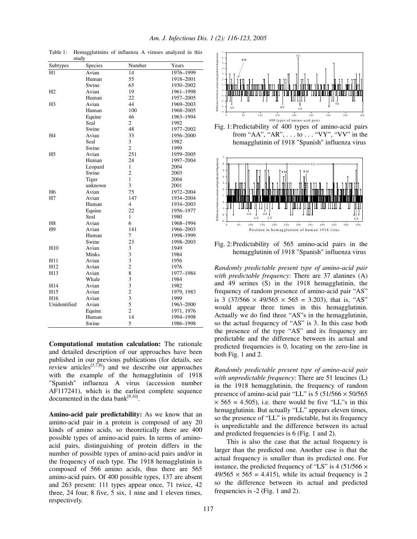| study          |              |                         |            |  |  |
|----------------|--------------|-------------------------|------------|--|--|
| Subtypes       | Species      | Number                  | Years      |  |  |
| H1             | Avian        | 14                      | 1976-1999  |  |  |
|                | Human        | 55                      | 1918-2001  |  |  |
|                | Swine        | 65                      | 1930-2002  |  |  |
| H <sub>2</sub> | Avian        | 19                      | 1961-1998  |  |  |
|                | Human        | 22                      | 1957-2005  |  |  |
| H <sub>3</sub> | Avian        | 44                      | 1969-2003  |  |  |
|                | Human        | 100                     | 1968-2005  |  |  |
|                | Equine       | 46                      | 1963-1994  |  |  |
|                | Seal         | $\overline{c}$          | 1992       |  |  |
|                | Swine        | 48                      | 1977-2002  |  |  |
| H4             | Avian        | 33                      | 1956-2000  |  |  |
|                | Seal         | 3                       | 1982       |  |  |
|                | Swine        | $\overline{c}$          | 1999       |  |  |
| H <sub>5</sub> | Avian        | 251                     | 1959-2005  |  |  |
|                | Human        | 24                      | 1997-2004  |  |  |
|                | Leopard      | $\mathbf{1}$            | 2004       |  |  |
|                | Swine        | $\overline{c}$          | 2003       |  |  |
|                | Tiger        | $\mathbf{1}$            | 2004       |  |  |
|                | unknown      | 3                       | 2001       |  |  |
| H <sub>6</sub> | Avian        | 75                      | 1972-2004  |  |  |
| H7             | Avian        | 147                     | 1934-2004  |  |  |
|                | Human        | $\overline{\mathbf{4}}$ | 1934-2003  |  |  |
|                | Equine       | 22                      | 1956-1977  |  |  |
|                | Seal         | 1                       | 1980       |  |  |
| H <sub>8</sub> | Avian        | 6                       | 1968-1994  |  |  |
| H <sub>9</sub> | Avian        | 141                     | 1966-2003  |  |  |
|                | Human        | 7                       | 1998-1999  |  |  |
|                | Swine        | 23                      | 1998-2003  |  |  |
| H10            | Avian        | 3                       | 1949       |  |  |
|                | <b>Minks</b> | 3                       | 1984       |  |  |
| H11            | Avian        | 3                       | 1956       |  |  |
| H12            | Avian        | $\overline{c}$          | 1976       |  |  |
| H13            | Avian        | 8                       | 1977-1984  |  |  |
|                | Whale        | 3                       | 1984       |  |  |
| H14            | Avian        | 3                       | 1982       |  |  |
| H15            | Avian        | $\overline{c}$          | 1979, 1983 |  |  |
| H16            | Avian        | 3                       | 1999       |  |  |
| Unidentified   | Avian        | 5                       | 1963-2000  |  |  |
|                | Equine       | $\overline{c}$          | 1971, 1976 |  |  |
|                | Human        | 14                      | 1994-1998  |  |  |
|                | Swine        | 5                       | 1986-1998  |  |  |

Table 1: Hemagglutinins of influenza A viruses analyzed in this

*Am. J. Infectious Dis. 1 (2): 116-123, 2005*

**Computational mutation calculation:** The rationale and detailed description of our approaches have been published in our previous publications (for details, see review articles<sup>[3,7,8]</sup>) and we describe our approaches with the example of the hemagglutinin of 1918 "Spanish" influenza A virus (accession number AF117241), which is the earliest complete sequence documented in the data bank $[9,10]$ .

**Amino-acid pair predictability:** As we know that an amino-acid pair in a protein is composed of any 20 kinds of amino acids, so theoretically there are 400 possible types of amino-acid pairs. In terms of aminoacid pairs, distinguishing of protein differs in the number of possible types of amino-acid pairs and/or in the frequency of each type. The 1918 hemagglutinin is composed of 566 amino acids, thus there are 565 amino-acid pairs. Of 400 possible types, 137 are absent and 263 present: 111 types appear once, 71 twice, 42 three, 24 four, 8 five, 5 six, 1 nine and 1 eleven times, respectively.







Fig. 2:Predictability of 565 amino-acid pairs in the hemagglutinin of 1918 "Spanish" influenza virus

*Randomly predictable present type of amino-acid pair with predictable frequency*: There are 37 alanines (A) and 49 serines (S) in the 1918 hemagglutinin, the frequency of random presence of amino-acid pair "AS" is 3 (37/566  $\times$  49/565  $\times$  565 = 3.203), that is, "AS" would appear three times in this hemagglutinin. Actually we do find three "AS"s in the hemagglutinin, so the actual frequency of "AS" is 3. In this case both the presence of the type "AS" and its frequency are predictable and the difference between its actual and predicted frequencies is 0, locating on the zero-line in both Fig. 1 and 2.

*Randomly predictable present type of amino-acid pair with unpredictable frequency*: There are 51 leucines (L) in the 1918 hemagglutinin, the frequency of random presence of amino-acid pair "LL" is  $5 (51/566 \times 50/565$  $\times$  565 = 4.505), i.e. there would be five "LL"s in this hemagglutinin. But actually "LL" appears eleven times, so the presence of "LL" is predictable, but its frequency is unpredictable and the difference between its actual and predicted frequencies is 6 (Fig. 1 and 2).

This is also the case that the actual frequency is larger than the predicted one. Another case is that the actual frequency is smaller than its predicted one. For instance, the predicted frequency of "LS" is 4 (51/566  $\times$  $49/565 \times 565 = 4.415$ , while its actual frequency is 2 so the difference between its actual and predicted frequencies is -2 (Fig. 1 and 2).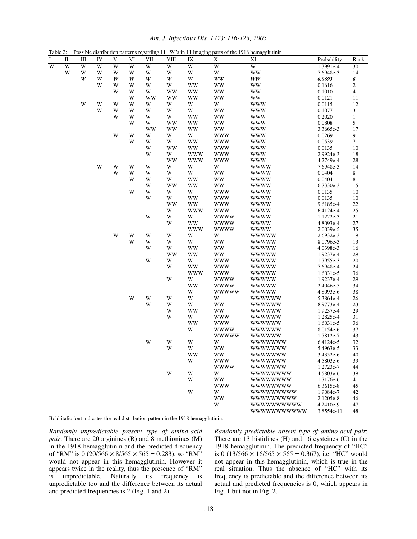|                | Possible distribution patterns regarding 11 "W"s in 11 imaging parts of the 1918 hemagglutinin<br>Table 2: |                         |            |             |    |           |             |                        |              |               |             |                             |
|----------------|------------------------------------------------------------------------------------------------------------|-------------------------|------------|-------------|----|-----------|-------------|------------------------|--------------|---------------|-------------|-----------------------------|
| I              | $\;$ II                                                                                                    | Ш                       | ${\rm IV}$ | $\mathbf V$ | VI | VII       | <b>VIII</b> | $\mathbf{I}\mathbf{X}$ | X            | XI            | Probability | Rank                        |
| $\overline{W}$ | W                                                                                                          | W                       | W          | W           | W  | W         | W           | W                      | W            | W             | 1.3991e-4   | 30                          |
|                | W                                                                                                          | W                       | W          | W           | W  | W         | W           | W                      | W            | <b>WW</b>     | 7.6948e-3   | 14                          |
|                |                                                                                                            | W                       | W          | W           | W  | W         | W           | W                      | <b>WW</b>    | <b>WW</b>     | 0.0693      | 6                           |
|                |                                                                                                            |                         | W          | W           | W  | W         | W           | WW                     | ww           | ww            | 0.1616      | $\overline{c}$              |
|                |                                                                                                            |                         |            | W           | W  | W         | <b>WW</b>   | <b>WW</b>              | WW           | <b>WW</b>     | 0.1010      | $\overline{\mathbf{4}}$     |
|                |                                                                                                            |                         |            |             | W  | <b>WW</b> | <b>WW</b>   | <b>WW</b>              | WW           | WW            | 0.0121      | 11                          |
|                |                                                                                                            | $\ensuremath{\text{W}}$ | W          | W           | W  | W         | W           | W                      | W            | <b>WWW</b>    | 0.0115      | 12                          |
|                |                                                                                                            |                         | W          | W           | W  | W         | W           | W                      | WW           | <b>WWW</b>    | 0.1077      | $\ensuremath{\mathfrak{Z}}$ |
|                |                                                                                                            |                         |            | W           | W  | W         | W           | WW                     | <b>WW</b>    | <b>WWW</b>    | 0.2020      | $\mathbf{1}$                |
|                |                                                                                                            |                         |            |             | W  | W         | WW          | <b>WW</b>              | WW           | <b>WWW</b>    | 0.0808      | 5                           |
|                |                                                                                                            |                         |            |             |    | <b>WW</b> | WW          | WW                     | WW           | <b>WWW</b>    | 3.3665e-3   | 17                          |
|                |                                                                                                            |                         |            | W           | W  | W         | W           | W                      | <b>WWW</b>   | <b>WWW</b>    | 0.0269      | 9                           |
|                |                                                                                                            |                         |            |             | W  | W         | W           | WW                     | <b>WWW</b>   | <b>WWW</b>    | 0.0539      | $\boldsymbol{7}$            |
|                |                                                                                                            |                         |            |             |    | W         | WW          | <b>WW</b>              | <b>WWW</b>   | <b>WWW</b>    | 0.0135      | 10                          |
|                |                                                                                                            |                         |            |             |    | W         | W           | <b>WWW</b>             | <b>WWW</b>   | <b>WWW</b>    | 2.9924e-3   | 18                          |
|                |                                                                                                            |                         |            |             |    |           | <b>WW</b>   | <b>WWW</b>             | <b>WWW</b>   | <b>WWW</b>    | 4.2749e-4   | 28                          |
|                |                                                                                                            |                         | W          | W           | W  | W         | W           | W                      | W            | <b>WWWW</b>   | 7.6948e-3   | 14                          |
|                |                                                                                                            |                         |            | W           | W  | W         | W           | W                      | WW           | <b>WWWW</b>   | 0.0404      | 8                           |
|                |                                                                                                            |                         |            |             | W  | W         | W           | WW                     | WW           | <b>WWWW</b>   | 0.0404      | 8                           |
|                |                                                                                                            |                         |            |             |    | W         | <b>WW</b>   | <b>WW</b>              | WW           | <b>WWWW</b>   | 6.7330e-3   | 15                          |
|                |                                                                                                            |                         |            |             | W  | W         | W           | W                      | <b>WWW</b>   | <b>WWWW</b>   | 0.0135      | 10                          |
|                |                                                                                                            |                         |            |             |    | W         | W           | <b>WW</b>              | www          | <b>WWWW</b>   | 0.0135      | 10                          |
|                |                                                                                                            |                         |            |             |    |           | <b>WW</b>   | <b>WW</b>              | www          | <b>WWWW</b>   | 9.6185e-4   | $22\,$                      |
|                |                                                                                                            |                         |            |             |    |           | W           | <b>WWW</b>             | <b>WWW</b>   | <b>WWWW</b>   | 6.4124e-4   | 25                          |
|                |                                                                                                            |                         |            |             |    | W         | W           | W                      | wwww         | <b>WWWW</b>   | 1.1222e-3   | 21                          |
|                |                                                                                                            |                         |            |             |    |           | W           | <b>WW</b>              | <b>WWWW</b>  | <b>WWWW</b>   | 4.8093e-4   | $27\,$                      |
|                |                                                                                                            |                         |            |             |    |           |             | <b>WWW</b>             | <b>WWWW</b>  | <b>WWWW</b>   | 2.0039e-5   | 35                          |
|                |                                                                                                            |                         |            | W           | W  | W         | W           | W                      | W            | <b>WWWWW</b>  | 2.6932e-3   | 19                          |
|                |                                                                                                            |                         |            |             | W  | W         | W           | W                      | WW           | <b>WWWWW</b>  | 8.0796e-3   | 13                          |
|                |                                                                                                            |                         |            |             |    | W         | W           | WW                     | WW           | <b>WWWWW</b>  | 4.0398e-3   | 16                          |
|                |                                                                                                            |                         |            |             |    |           | <b>WW</b>   | <b>WW</b>              | <b>WW</b>    | <b>WWWWW</b>  | 1.9237e-4   | 29                          |
|                |                                                                                                            |                         |            |             |    | W         | W           | W                      | <b>WWW</b>   | <b>WWWWW</b>  | 1.7955e-3   | 20                          |
|                |                                                                                                            |                         |            |             |    |           | W           | <b>WW</b>              | <b>WWW</b>   | <b>WWWWW</b>  | 7.6948e-4   | 24                          |
|                |                                                                                                            |                         |            |             |    |           |             | <b>WWW</b>             | <b>WWW</b>   | <b>WWWWW</b>  | 1.6031e-5   | 36                          |
|                |                                                                                                            |                         |            |             |    |           | W           | W                      | <b>WWWW</b>  | <b>WWWWW</b>  | 1.9237e-4   | 29                          |
|                |                                                                                                            |                         |            |             |    |           |             | <b>WW</b>              | <b>WWWW</b>  | <b>WWWWW</b>  | 2.4046e-5   | 34                          |
|                |                                                                                                            |                         |            |             |    |           |             | W                      | <b>WWWWW</b> | <b>WWWWW</b>  | 4.8093e-6   | 38                          |
|                |                                                                                                            |                         |            |             | W  | W         | W           | W                      | W            | wwwww         | 5.3864e-4   | 26                          |
|                |                                                                                                            |                         |            |             |    | W         | W           | W                      | WW           | <i>wwwww</i>  | 8.9773e-4   | 23                          |
|                |                                                                                                            |                         |            |             |    |           | W           | <b>WW</b>              | WW           | wwwww         | 1.9237e-4   | 29                          |
|                |                                                                                                            |                         |            |             |    |           | W           | W                      | <b>WWW</b>   | <b>WWWWWW</b> | 1.2825e-4   | 31                          |
|                |                                                                                                            |                         |            |             |    |           |             | <b>WW</b>              | <b>WWW</b>   | <b>WWWWWW</b> | 1.6031e-5   | 36                          |
|                |                                                                                                            |                         |            |             |    |           |             | W                      | <b>WWWW</b>  | <b>WWWWWW</b> | 8.0154e-6   | 37                          |
|                |                                                                                                            |                         |            |             |    |           |             |                        | <b>WWWWW</b> | <b>WWWWWW</b> | 1.7812e-7   | 43                          |
|                |                                                                                                            |                         |            |             |    | W         | W           | W                      | W            | wwwwww        | 6.4124e-5   | 32                          |
|                |                                                                                                            |                         |            |             |    |           | W           | W                      | <b>WW</b>    | wwwwww        | 5.4963e-5   | 33                          |
|                |                                                                                                            |                         |            |             |    |           |             | w w                    | ww           | wwwwww        | 3.4352e-6   | 40                          |
|                |                                                                                                            |                         |            |             |    |           |             | W                      | <b>WWW</b>   | <i>wwwwww</i> | 4.5803e-6   | 39                          |
|                |                                                                                                            |                         |            |             |    |           |             |                        | <b>WWWW</b>  | wwwwww        | 1.2723e-7   | 44                          |
|                |                                                                                                            |                         |            |             |    |           | W           | W                      | W            | wwwwwww       | 4.5803e-6   | 39                          |
|                |                                                                                                            |                         |            |             |    |           |             | W                      | WW           | wwwwwww       | 1.7176e-6   | 41                          |
|                |                                                                                                            |                         |            |             |    |           |             |                        | <b>WWW</b>   | wwwwwww       | 6.3615e-8   | 45                          |
|                |                                                                                                            |                         |            |             |    |           |             | W                      | W            | wwwwwwww      | 1.9084e-7   | 42                          |
|                |                                                                                                            |                         |            |             |    |           |             |                        | WW           | wwwwwwww      | 2.1205e-8   | 46                          |
|                |                                                                                                            |                         |            |             |    |           |             |                        | W            | wwwwwwwww     | 4.2410e-9   | 47                          |
|                |                                                                                                            |                         |            |             |    |           |             |                        |              | wwwwwwwwww    | 3.8554e-11  | 48                          |

*Am. J. Infectious Dis. 1 (2): 116-123, 2005*

Bold italic font indicates the real distribution pattern in the 1918 hemagglutinin.

*Randomly unpredictable present type of amino-acid pair*: There are 20 arginines (R) and 8 methionines (M) in the 1918 hemagglutinin and the predicted frequency of "RM" is 0 (20/566  $\times$  8/565  $\times$  565 = 0.283), so "RM" would not appear in this hemagglutinin. However it appears twice in the reality, thus the presence of "RM" is unpredictable. Naturally its frequency is unpredictable too and the difference between its actual and predicted frequencies is 2 (Fig. 1 and 2).

*Randomly predictable absent type of amino-acid pair*: There are 13 histidines (H) and 16 cysteines (C) in the 1918 hemagglutinin. The predicted frequency of "HC" is 0 (13/566  $\times$  16/565  $\times$  565 = 0.367), i.e. "HC" would not appear in this hemagglutinin, which is true in the real situation. Thus the absence of "HC" with its frequency is predictable and the difference between its actual and predicted frequencies is 0, which appears in Fig. 1 but not in Fig. 2.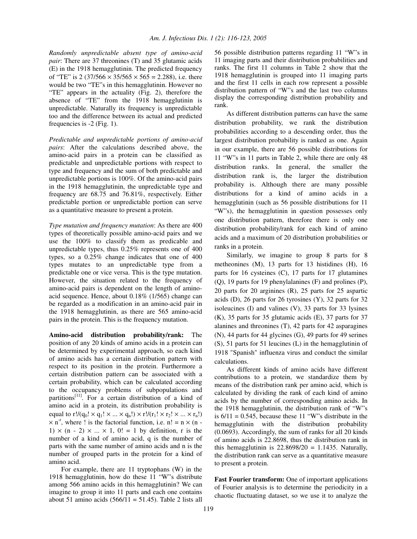*Randomly unpredictable absent type of amino-acid pair*: There are 37 threonines (T) and 35 glutamic acids (E) in the 1918 hemagglutinin. The predicted frequency of "TE" is 2 (37/566  $\times$  35/565  $\times$  565 = 2.288), i.e. there would be two "TE"s in this hemagglutinin. However no "TE" appears in the actuality (Fig. 2), therefore the absence of "TE" from the 1918 hemagglutinin is unpredictable. Naturally its frequency is unpredictable too and the difference between its actual and predicted frequencies is -2 (Fig. 1).

*Predictable and unpredictable portions of amino-acid pairs*: After the calculations described above, the amino-acid pairs in a protein can be classified as predictable and unpredictable portions with respect to type and frequency and the sum of both predictable and unpredictable portions is 100%. Of the amino-acid pairs in the 1918 hemagglutinin, the unpredictable type and frequency are 68.75 and 76.81%, respectively. Either predictable portion or unpredictable portion can serve as a quantitative measure to present a protein.

*Type mutation and frequency mutation*: As there are 400 types of theoretically possible amino-acid pairs and we use the 100% to classify them as predicable and unpredictable types, thus 0.25% represents one of 400 types, so a 0.25% change indicates that one of 400 types mutates to an unpredictable type from a predictable one or vice versa. This is the type mutation. However, the situation related to the frequency of amino-acid pairs is dependent on the length of aminoacid sequence. Hence, about 0.18% (1/565) change can be regarded as a modification in an amino-acid pair in the 1918 hemagglutinin, as there are 565 amino-acid pairs in the protein. This is the frequency mutation.

**Amino-acid distribution probability/rank:** The position of any 20 kinds of amino acids in a protein can be determined by experimental approach, so each kind of amino acids has a certain distribution pattern with respect to its position in the protein. Furthermore a certain distribution pattern can be associated with a certain probability, which can be calculated according to the occupancy problems of subpopulations and partitions<sup>[11]</sup>. For a certain distribution of a kind of amino acid in a protein, its distribution probability is equal to  $r!/(q_0! \times q_1! \times ... \times q_n!) \times r!/(r_1! \times r_2! \times ... \times r_n!)$  $\times$  n<sup>-r</sup>, where ! is the factorial function, i.e. n! = n  $\times$  (n -1)  $\times$  (n - 2)  $\times$  ...  $\times$  1, 0! = 1 by definition, r is the number of a kind of amino acid, q is the number of parts with the same number of amino acids and n is the number of grouped parts in the protein for a kind of amino acid.

For example, there are 11 tryptophans (W) in the 1918 hemagglutinin, how do these 11 "W"s distribute among 566 amino acids in this hemagglutinin? We can imagine to group it into 11 parts and each one contains about 51 amino acids  $(566/11 = 51.45)$ . Table 2 lists all

56 possible distribution patterns regarding 11 "W"s in 11 imaging parts and their distribution probabilities and ranks. The first 11 columns in Table 2 show that the 1918 hemagglutinin is grouped into 11 imaging parts and the first 11 cells in each row represent a possible distribution pattern of "W"s and the last two columns display the corresponding distribution probability and rank.

As different distribution patterns can have the same distribution probability, we rank the distribution probabilities according to a descending order, thus the largest distribution probability is ranked as one. Again in our example, there are 56 possible distributions for 11 "W"s in 11 parts in Table 2, while there are only 48 distribution ranks. In general, the smaller the distribution rank is, the larger the distribution probability is. Although there are many possible distributions for a kind of amino acids in a hemagglutinin (such as 56 possible distributions for 11 "W"s), the hemagglutinin in question possesses only one distribution pattern, therefore there is only one distribution probability/rank for each kind of amino acids and a maximum of 20 distribution probabilities or ranks in a protein.

Similarly, we imagine to group 8 parts for 8 metheonines (M), 13 parts for 13 histidines (H), 16 parts for 16 cysteines (C), 17 parts for 17 glutamines (Q), 19 parts for 19 phenylalanines (F) and prolines (P), 20 parts for 20 arginines (R), 25 parts for 25 aspartic acids (D), 26 parts for 26 tyrosines (Y), 32 parts for 32 isoleucines (I) and valines (V), 33 parts for 33 lysines (K), 35 parts for 35 glutamic acids (E), 37 parts for 37 alanines and threonines (T), 42 parts for 42 asparagines (N), 44 parts for 44 glycines (G), 49 parts for 49 serines (S), 51 parts for 51 leucines (L) in the hemagglutinin of 1918 "Spanish" influenza virus and conduct the similar calculations.

As different kinds of amino acids have different contributions to a protein, we standardize them by means of the distribution rank per amino acid, which is calculated by dividing the rank of each kind of amino acids by the number of corresponding amino acids. In the 1918 hemagglutinin, the distribution rank of "W"s is  $6/11 = 0.545$ , because these 11 "W"s distribute in the hemagglutinin with the distribution probability (0.0693). Accordingly, the sum of ranks for all 20 kinds of amino acids is 22.8698, thus the distribution rank in this hemagglutinin is  $22.8698/20 = 1.1435$ . Naturally, the distribution rank can serve as a quantitative measure to present a protein.

**Fast Fourier transform:** One of important applications of Fourier analysis is to determine the periodicity in a chaotic fluctuating dataset, so we use it to analyze the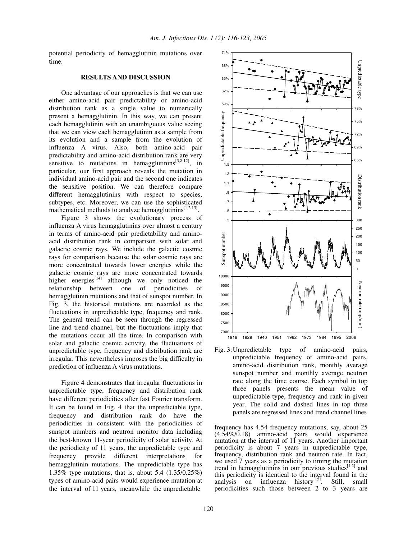potential periodicity of hemagglutinin mutations over time.

### **RESULTS AND DISCUSSION**

One advantage of our approaches is that we can use either amino-acid pair predictability or amino-acid distribution rank as a single value to numerically present a hemagglutinin. In this way, we can present each hemagglutinin with an unambiguous value seeing that we can view each hemagglutinin as a sample from its evolution and a sample from the evolution of influenza A virus. Also, both amino-acid pair predictability and amino-acid distribution rank are very sensitive to mutations in hemagglutinins $[3,8,12]$ , in particular, our first approach reveals the mutation in individual amino-acid pair and the second one indicates the sensitive position. We can therefore compare different hemagglutinins with respect to species, subtypes, etc. Moreover, we can use the sophisticated mathematical methods to analyze hemagglutinins<sup>[1,2,13]</sup>.

Figure 3 shows the evolutionary process of influenza A virus hemagglutinins over almost a century in terms of amino-acid pair predictability and aminoacid distribution rank in comparison with solar and galactic cosmic rays. We include the galactic cosmic rays for comparison because the solar cosmic rays are more concentrated towards lower energies while the galactic cosmic rays are more concentrated towards higher energies $\left[14\right]$  although we only noticed the relationship between one of periodicities of hemagglutinin mutations and that of sunspot number. In Fig. 3, the historical mutations are recorded as the fluctuations in unpredictable type, frequency and rank. The general trend can be seen through the regressed line and trend channel, but the fluctuations imply that the mutations occur all the time. In comparison with solar and galactic cosmic activity, the fluctuations of unpredictable type, frequency and distribution rank are irregular. This nevertheless imposes the big difficulty in prediction of influenza A virus mutations.

Figure 4 demonstrates that irregular fluctuations in unpredictable type, frequency and distribution rank have different periodicities after fast Fourier transform. It can be found in Fig. 4 that the unpredictable type, frequency and distribution rank do have the periodicities in consistent with the periodicities of sunspot numbers and neutron monitor data including the best-known 11-year periodicity of solar activity. At the periodicity of 11 years, the unpredictable type and frequency provide different interpretations for hemagglutinin mutations. The unpredictable type has 1.35% type mutations, that is, about 5.4 (1.35/0.25%) types of amino-acid pairs would experience mutation at the interval of 11 years, meanwhile the unpredictable



Fig. 3:Unpredictable type of amino-acid pairs, unpredictable frequency of amino-acid pairs, amino-acid distribution rank, monthly average sunspot number and monthly average neutron rate along the time course. Each symbol in top three panels presents the mean value of unpredictable type, frequency and rank in given year. The solid and dashed lines in top three panels are regressed lines and trend channel lines

frequency has 4.54 frequency mutations, say, about 25 (4.54%/0.18) amino-acid pairs would experience mutation at the interval of 11 years. Another important periodicity is about 7 years in unpredictable type, frequency, distribution rank and neutron rate. In fact, we used 7 years as a periodicity to timing the mutation trend in hemagglutinins in our previous studies $^{[1,2]}$  and this periodicity is identical to the interval found in the analysis on influenza history<sup>[15]</sup>. Still, small periodicities such those between 2 to 3 years are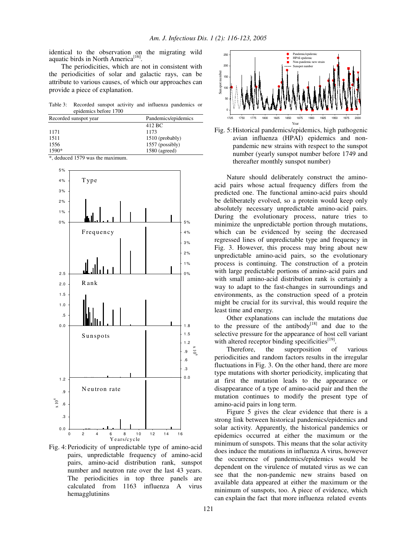identical to the observation on the migrating wild aquatic birds in North America<sup>[16]</sup>.

The periodicities, which are not in consistent with the periodicities of solar and galactic rays, can be attribute to various causes, of which our approaches can provide a piece of explanation.

Table 3: Recorded sunspot activity and influenza pandemics or epidemics before 1700

| Recorded sunspot year | Pandemics/epidemics |  |  |
|-----------------------|---------------------|--|--|
|                       | 412 BC              |  |  |
| 1171                  | 1173                |  |  |
| 1511                  | $1510$ (probably)   |  |  |
| 1556                  | $1557$ (possibly)   |  |  |
| $1590*$               | $1580$ (agreed)     |  |  |

\*, deduced 1579 was the maximum.



Fig. 4:Periodicity of unpredictable type of amino-acid pairs, unpredictable frequency of amino-acid pairs, amino-acid distribution rank, sunspot number and neutron rate over the last 43 years. The periodicities in top three panels are calculated from 1163 influenza A virus hemagglutinins





Nature should deliberately construct the aminoacid pairs whose actual frequency differs from the predicted one. The functional amino-acid pairs should be deliberately evolved, so a protein would keep only absolutely necessary unpredictable amino-acid pairs. During the evolutionary process, nature tries to minimize the unpredictable portion through mutations, which can be evidenced by seeing the decreased regressed lines of unpredictable type and frequency in Fig. 3. However, this process may bring about new unpredictable amino-acid pairs, so the evolutionary process is continuing. The construction of a protein with large predictable portions of amino-acid pairs and with small amino-acid distribution rank is certainly a way to adapt to the fast-changes in surroundings and environments, as the construction speed of a protein might be crucial for its survival, this would require the least time and energy.

Other explanations can include the mutations due to the pressure of the antibody<sup>[18]</sup> and due to the selective pressure for the appearance of host cell variant with altered receptor binding specificities<sup>[19]</sup>.

Therefore, the superposition of various periodicities and random factors results in the irregular fluctuations in Fig. 3. On the other hand, there are more type mutations with shorter periodicity, implicating that at first the mutation leads to the appearance or disappearance of a type of amino-acid pair and then the mutation continues to modify the present type of amino-acid pairs in long term.

Figure 5 gives the clear evidence that there is a strong link between historical pandemics/epidemics and solar activity. Apparently, the historical pandemics or epidemics occurred at either the maximum or the minimum of sunspots. This means that the solar activity does induce the mutations in influenza A virus, however the occurrence of pandemics/epidemics would be dependent on the virulence of mutated virus as we can see that the non-pandemic new strains based on available data appeared at either the maximum or the minimum of sunspots, too. A piece of evidence, which can explain the fact that more influenza related events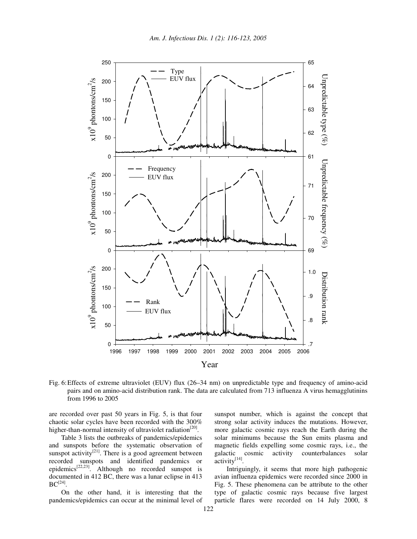

Fig. 6:Effects of extreme ultraviolet (EUV) flux (26–34 nm) on unpredictable type and frequency of amino-acid pairs and on amino-acid distribution rank. The data are calculated from 713 influenza A virus hemagglutinins from 1996 to 2005

are recorded over past 50 years in Fig. 5, is that four chaotic solar cycles have been recorded with the 300% higher-than-normal intensity of ultraviolet radiation<sup>[20]</sup>.

Table 3 lists the outbreaks of pandemics/epidemics and sunspots before the systematic observation of sunspot activity<sup>[21]</sup>. There is a good agreement between recorded sunspots and identified pandemics or epidemics<sup>[22,23]</sup>. Although no recorded sunspot is documented in 412 BC, there was a lunar eclipse in 413  $\mathrm{BC}^{[24]}.$ 

On the other hand, it is interesting that the pandemics/epidemics can occur at the minimal level of sunspot number, which is against the concept that strong solar activity induces the mutations. However, more galactic cosmic rays reach the Earth during the solar minimums because the Sun emits plasma and magnetic fields expelling some cosmic rays, i.e., the galactic cosmic activity counterbalances solar activity<sup>[14]</sup>.

Intriguingly, it seems that more high pathogenic avian influenza epidemics were recorded since 2000 in Fig. 5. These phenomena can be attribute to the other type of galactic cosmic rays because five largest particle flares were recorded on 14 July 2000, 8